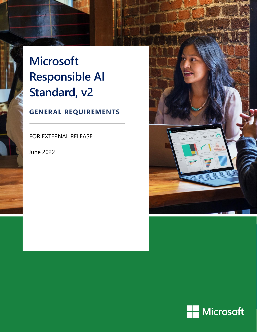# **Microsoft Responsible AI Standard, v2**

## **GENERAL REQUIREMENTS**

FOR EXTERNAL RELEASE

June 2022



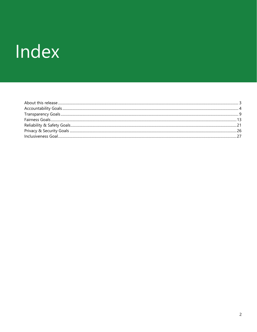# Index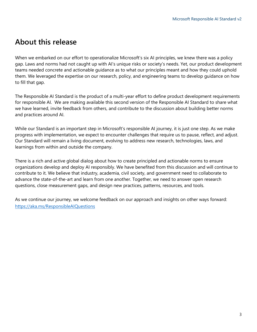## <span id="page-2-0"></span>**About this release**

When we embarked on our effort to operationalize Microsoft's six AI principles, we knew there was a policy gap. Laws and norms had not caught up with AI's unique risks or society's needs. Yet, our product development teams needed concrete and actionable guidance as to what our principles meant and how they could uphold them. We leveraged the expertise on our research, policy, and engineering teams to develop guidance on how to fill that gap.

The Responsible AI Standard is the product of a multi-year effort to define product development requirements for responsible AI. We are making available this second version of the Responsible AI Standard to share what we have learned, invite feedback from others, and contribute to the discussion about building better norms and practices around AI.

While our Standard is an important step in Microsoft's responsible AI journey, it is just one step. As we make progress with implementation, we expect to encounter challenges that require us to pause, reflect, and adjust. Our Standard will remain a living document, evolving to address new research, technologies, laws, and learnings from within and outside the company.

There is a rich and active global dialog about how to create principled and actionable norms to ensure organizations develop and deploy AI responsibly. We have benefited from this discussion and will continue to contribute to it. We believe that industry, academia, civil society, and government need to collaborate to advance the state-of-the-art and learn from one another. Together, we need to answer open research questions, close measurement gaps, and design new practices, patterns, resources, and tools.

As we continue our journey, we welcome feedback on our approach and insights on other ways forward: <https://aka.ms/ResponsibleAIQuestions>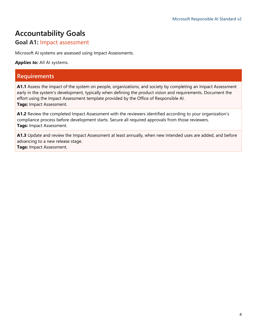# <span id="page-3-0"></span>**Accountability Goals**

#### **Goal A1:** Impact assessment

Microsoft AI systems are assessed using Impact Assessments.

*Applies to:* All AI systems.

#### **Requirements**

**A1.1** Assess the impact of the system on people, organizations, and society by completing an Impact Assessment early in the system's development, typically when defining the product vision and requirements. Document the effort using the Impact Assessment template provided by the Office of Responsible AI. **Tags:** Impact Assessment.

**A1.2** Review the completed Impact Assessment with the reviewers identified according to your organization's compliance process before development starts. Secure all required approvals from those reviewers. **Tags:** Impact Assessment.

**A1.3** Update and review the Impact Assessment at least annually, when new intended uses are added, and before advancing to a new release stage.

**Tags:** Impact Assessment.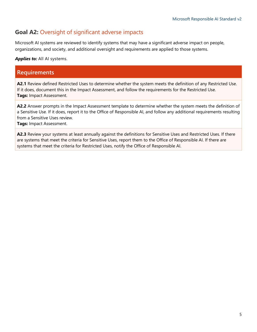#### **Goal A2:** Oversight of significant adverse impacts

Microsoft AI systems are reviewed to identify systems that may have a significant adverse impact on people, organizations, and society, and additional oversight and requirements are applied to those systems.

*Applies to:* All AI systems.

#### **Requirements**

**A2.1** Review defined Restricted Uses to determine whether the system meets the definition of any Restricted Use. If it does, document this in the Impact Assessment, and follow the requirements for the Restricted Use. **Tags:** Impact Assessment.

**A2.2** Answer prompts in the Impact Assessment template to determine whether the system meets the definition of a Sensitive Use. If it does, report it to the Office of Responsible AI, and follow any additional requirements resulting from a Sensitive Uses review.

**Tags:** Impact Assessment.

**A2.3** Review your systems at least annually against the definitions for Sensitive Uses and Restricted Uses. If there are systems that meet the criteria for Sensitive Uses, report them to the Office of Responsible AI. If there are systems that meet the criteria for Restricted Uses, notify the Office of Responsible AI.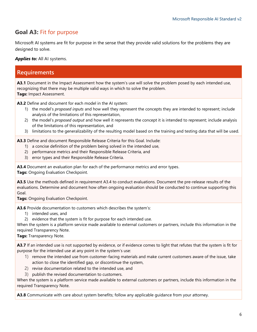#### **Goal A3:** Fit for purpose

Microsoft AI systems are fit for purpose in the sense that they provide valid solutions for the problems they are designed to solve.

**Applies to:** All AI systems.

#### **Requirements**

**A3.1** Document in the Impact Assessment how the system's use will solve the problem posed by each intended use, recognizing that there may be multiple valid ways in which to solve the problem. **Tags:** Impact Assessment.

**A3.2** Define and document for each model in the AI system:

- 1) the model's *proposed inputs* and how well they represent the concepts they are intended to represent; include analysis of the limitations of this representation,
- 2) the model's *proposed output* and how well it represents the concept it is intended to represent; include analysis of the limitations of this representation, and
- 3) limitations to the generalizability of the resulting model based on the training and testing data that will be used.

**A3.3** Define and document Responsible Release Criteria for this Goal. Include:

- 1) a concise definition of the problem being solved in the intended use,
- 2) performance metrics and their Responsible Release Criteria, and
- 3) error types and their Responsible Release Criteria.

**A3.4** Document an evaluation plan for each of the performance metrics and error types. **Tags:** Ongoing Evaluation Checkpoint.

**A3.5** Use the methods defined in requirement A3.4 to conduct evaluations. Document the pre-release results of the evaluations. Determine and document how often ongoing evaluation should be conducted to continue supporting this Goal.

**Tags:** Ongoing Evaluation Checkpoint.

**A3.6** Provide documentation to customers which describes the system's:

- 1) intended uses, and
- 2) evidence that the system is fit for purpose for each intended use.

When the system is a platform service made available to external customers or partners, include this information in the required Transparency Note.

**Tags:** Transparency Note.

**A3.7** If an intended use is not supported by evidence, or if evidence comes to light that refutes that the system is fit for purpose for the intended use at any point in the system's use:

- 1) remove the intended use from customer-facing materials and make current customers aware of the issue, take action to close the identified gap, or discontinue the system,
- 2) revise documentation related to the intended use, and
- 3) publish the revised documentation to customers.

When the system is a platform service made available to external customers or partners, include this information in the required Transparency Note.

**A3.8** Communicate with care about system benefits; follow any applicable guidance from your attorney.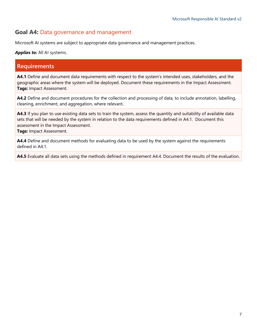#### **Goal A4:** Data governance and management

Microsoft AI systems are subject to appropriate data governance and management practices.

#### *Applies to:* All AI systems.

#### **Requirements**

**A4.1** Define and document data requirements with respect to the system's intended uses, stakeholders, and the geographic areas where the system will be deployed. Document these requirements in the Impact Assessment. **Tags:** Impact Assessment.

**A4.2** Define and document procedures for the collection and processing of data, to include annotation, labelling, cleaning, enrichment, and aggregation, where relevant.

**A4.3** If you plan to use existing data sets to train the system, assess the quantity and suitability of available data sets that will be needed by the system in relation to the data requirements defined in A4.1. Document this assessment in the Impact Assessment.

**Tags:** Impact Assessment.

**A4.4** Define and document methods for evaluating data to be used by the system against the requirements defined in A4.1.

**A4.5** Evaluate all data sets using the methods defined in requirement A4.4. Document the results of the evaluation.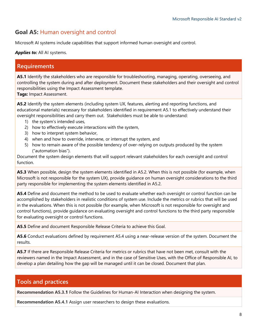#### **Goal A5:** Human oversight and control

Microsoft AI systems include capabilities that support informed human oversight and control.

#### *Applies to:* All AI systems.

#### **Requirements**

**A5.1** Identify the stakeholders who are responsible for troubleshooting, managing, operating, overseeing, and controlling the system during and after deployment. Document these stakeholders and their oversight and control responsibilities using the Impact Assessment template.

**Tags:** Impact Assessment.

**A5.2** Identify the system elements (including system UX, features, alerting and reporting functions, and educational materials) necessary for stakeholders identified in requirement A5.1 to effectively understand their oversight responsibilities and carry them out. Stakeholders must be able to understand:

- 1) the system's intended uses,
- 2) how to effectively execute interactions with the system,
- 3) how to interpret system behavior,
- 4) when and how to override, intervene, or interrupt the system, and
- 5) how to remain aware of the possible tendency of over-relying on outputs produced by the system ("automation bias").

Document the system design elements that will support relevant stakeholders for each oversight and control function.

**A5.3** When possible, design the system elements identified in A5.2. When this is not possible (for example, when Microsoft is not responsible for the system UX), provide guidance on human oversight considerations to the third party responsible for implementing the system elements identified in A5.2.

**A5.4** Define and document the method to be used to evaluate whether each oversight or control function can be accomplished by stakeholders in realistic conditions of system use. Include the metrics or rubrics that will be used in the evaluations. When this is not possible (for example, when Microsoft is not responsible for oversight and control functions), provide guidance on evaluating oversight and control functions to the third party responsible for evaluating oversight or control functions.

**A5.5** Define and document Responsible Release Criteria to achieve this Goal.

**A5.6** Conduct evaluations defined by requirement A5.4 using a near-release version of the system. Document the results.

**A5.7** If there are Responsible Release Criteria for metrics or rubrics that have not been met, consult with the reviewers named in the Impact Assessment, and in the case of Sensitive Uses, with the Office of Responsible AI, to develop a plan detailing how the gap will be managed until it can be closed. Document that plan.

#### **Tools and practices**

**Recommendation A5.3.1** Follow the Guidelines for Human-AI Interaction when designing the system.

**Recommendation A5.4.1** Assign user researchers to design these evaluations.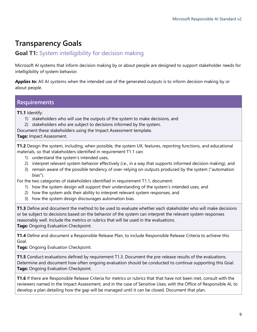# <span id="page-8-0"></span>**Transparency Goals**

#### **Goal T1:** System intelligibility for decision making

Microsoft AI systems that inform decision making by or about people are designed to support stakeholder needs for intelligibility of system behavior.

**Applies to:** All AI systems when the intended use of the generated outputs is to inform decision making by or about people.

#### **Requirements**

**T1.1** Identify:

- 1) stakeholders who will use the outputs of the system to make decisions, and
- 2) stakeholders who are subject to decisions informed by the system.
- Document these stakeholders using the Impact Assessment template.

**Tags:** Impact Assessment.

**T1.2** Design the system, including, when possible, the system UX, features, reporting functions, and educational materials, so that stakeholders identified in requirement T1.1 can:

- 1) understand the system's intended uses,
- 2) interpret relevant system behavior effectively (i.e., in a way that supports informed decision making), and
- 3) remain aware of the possible tendency of over-relying on outputs produced by the system ("automation bias").

For the two categories of stakeholders identified in requirement T1.1, document:

- 1) how the system design will support their understanding of the system's intended uses, and
- 2) how the system aids their ability to interpret relevant system responses, and
- 3) how the system design discourages automation bias.

**T1.3** Define and document the method to be used to evaluate whether each stakeholder who will make decisions or be subject to decisions based on the behavior of the system can interpret the relevant system responses reasonably well. Include the metrics or rubrics that will be used in the evaluations. **Tags:** Ongoing Evaluation Checkpoint.

**T1.4** Define and document a Responsible Release Plan, to include Responsible Release Criteria to achieve this Goal.

**Tags:** Ongoing Evaluation Checkpoint.

**T1.5** Conduct evaluations defined by requirement T1.3. Document the pre-release results of the evaluations. Determine and document how often ongoing evaluation should be conducted to continue supporting this Goal. **Tags:** Ongoing Evaluation Checkpoint.

**T1.6** If there are Responsible Release Criteria for metrics or rubrics that that have not been met, consult with the reviewers named in the Impact Assessment, and in the case of Sensitive Uses, with the Office of Responsible AI, to develop a plan detailing how the gap will be managed until it can be closed. Document that plan.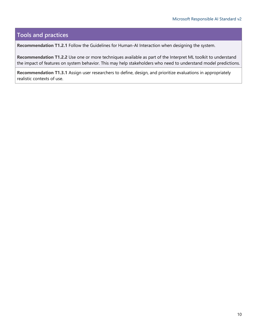## **Tools and practices**

**Recommendation T1.2.1** Follow the Guidelines for Human-AI Interaction when designing the system.

**Recommendation T1.2.2** Use one or more techniques available as part of the Interpret ML toolkit to understand the impact of features on system behavior. This may help stakeholders who need to understand model predictions.

**Recommendation T1.3.1** Assign user researchers to define, design, and prioritize evaluations in appropriately realistic contexts of use.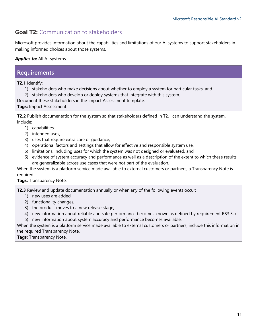#### **Goal T2:** Communication to stakeholders

Microsoft provides information about the capabilities and limitations of our AI systems to support stakeholders in making informed choices about those systems.

*Applies to:* All AI systems.

# **Requirements**

**T2.1** Identify:

- 1) stakeholders who make decisions about whether to employ a system for particular tasks, and
- 2) stakeholders who develop or deploy systems that integrate with this system.

Document these stakeholders in the Impact Assessment template.

#### **Tags:** Impact Assessment.

**T2.2** Publish documentation for the system so that stakeholders defined in T2.1 can understand the system. Include:

- 1) capabilities,
- 2) intended uses,
- 3) uses that require extra care or guidance,
- 4) operational factors and settings that allow for effective and responsible system use,
- 5) limitations, including uses for which the system was not designed or evaluated, and
- 6) evidence of system accuracy and performance as well as a description of the extent to which these results are generalizable across use cases that were not part of the evaluation.

When the system is a platform service made available to external customers or partners, a Transparency Note is required.

**Tags:** Transparency Note.

**T2.3** Review and update documentation annually or when any of the following events occur:

- 1) new uses are added,
- 2) functionality changes,
- 3) the product moves to a new release stage,
- 4) new information about reliable and safe performance becomes known as defined by requirement RS3.3, or
- 5) new information about system accuracy and performance becomes available.

When the system is a platform service made available to external customers or partners, include this information in the required Transparency Note.

**Tags:** Transparency Note.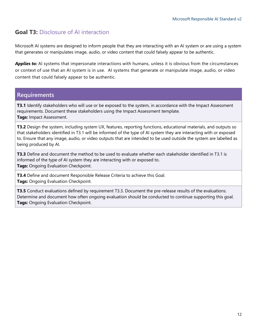#### **Goal T3:** Disclosure of AI interaction

Microsoft AI systems are designed to inform people that they are interacting with an AI system or are using a system that generates or manipulates image, audio, or video content that could falsely appear to be authentic.

**Applies to:** AI systems that impersonate interactions with humans, unless it is obvious from the circumstances or context of use that an AI system is in use. AI systems that generate or manipulate image, audio, or video content that could falsely appear to be authentic.

#### **Requirements**

**T3.1** Identify stakeholders who will use or be exposed to the system, in accordance with the Impact Assessment requirements. Document these stakeholders using the Impact Assessment template. **Tags:** Impact Assessment.

**T3.2** Design the system, including system UX, features, reporting functions, educational materials, and outputs so that stakeholders identified in T3.1 will be informed of the type of AI system they are interacting with or exposed to. Ensure that any image, audio, or video outputs that are intended to be used outside the system are labelled as being produced by AI.

**T3.3** Define and document the method to be used to evaluate whether each stakeholder identified in T3.1 is informed of the type of AI system they are interacting with or exposed to. **Tags:** Ongoing Evaluation Checkpoint.

**T3.4** Define and document Responsible Release Criteria to achieve this Goal. **Tags:** Ongoing Evaluation Checkpoint.

**T3.5** Conduct evaluations defined by requirement T3.3. Document the pre-release results of the evaluations. Determine and document how often ongoing evaluation should be conducted to continue supporting this goal. **Tags:** Ongoing Evaluation Checkpoint.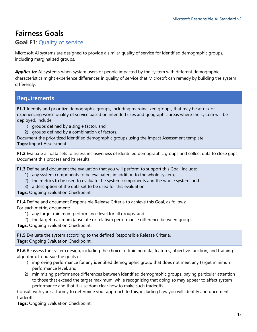# <span id="page-12-0"></span>**Fairness Goals**

#### **Goal F1**: Quality of service

Microsoft AI systems are designed to provide a similar quality of service for identified demographic groups, including marginalized groups.

**Applies to:** AI systems when system users or people impacted by the system with different demographic characteristics might experience differences in quality of service that Microsoft can remedy by building the system differently.

#### **Requirements**

**F1.1** Identify and prioritize demographic groups, including marginalized groups, that may be at risk of experiencing worse quality of service based on intended uses and geographic areas where the system will be deployed. Include:

- 1) groups defined by a single factor, and
- 2) groups defined by a combination of factors.

Document the prioritized identified demographic groups using the Impact Assessment template.

**Tags:** Impact Assessment.

**F1.2** Evaluate all data sets to assess inclusiveness of identified demographic groups and collect data to close gaps. Document this process and its results.

**F1.3** Define and document the evaluation that you will perform to support this Goal. Include:

- 1) any system components to be evaluated, in addition to the whole system,
- 2) the metrics to be used to evaluate the system components and the whole system, and
- 3) a description of the data set to be used for this evaluation.

**Tags:** Ongoing Evaluation Checkpoint.

**F1.4** Define and document Responsible Release Criteria to achieve this Goal, as follows: For each metric, document:

- 1) any target minimum performance level for all groups, and
- 2) the target maximum (absolute or relative) performance difference between groups.

**Tags:** Ongoing Evaluation Checkpoint.

**F1.5** Evaluate the system according to the defined Responsible Release Criteria. **Tags:** Ongoing Evaluation Checkpoint.

**F1.6** Reassess the system design, including the choice of training data, features, objective function, and training algorithm, to pursue the goals of:

- 1) improving performance for any identified demographic group that does not meet any target minimum performance level, and
- 2) minimizing performance differences between identified demographic groups, paying particular attention to those that exceed the target maximum, while recognizing that doing so may appear to affect system performance and that it is seldom clear how to make such tradeoffs.

Consult with your attorney to determine your approach to this, including how you will identify and document tradeoffs.

**Tags:** Ongoing Evaluation Checkpoint.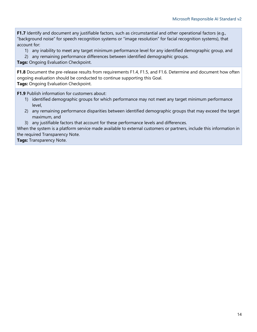**F1.7** Identify and document any justifiable factors, such as circumstantial and other operational factors (e.g., "background noise" for speech recognition systems or "image resolution" for facial recognition systems), that account for:

- 1) any inability to meet any target minimum performance level for any identified demographic group, and
- 2) any remaining performance differences between identified demographic groups.

**Tags:** Ongoing Evaluation Checkpoint.

**F1.8** Document the pre-release results from requirements F1.4, F1.5, and F1.6. Determine and document how often ongoing evaluation should be conducted to continue supporting this Goal. **Tags:** Ongoing Evaluation Checkpoint.

**F1.9** Publish information for customers about:

- 1) identified demographic groups for which performance may not meet any target minimum performance level,
- 2) any remaining performance disparities between identified demographic groups that may exceed the target maximum, and
- 3) any justifiable factors that account for these performance levels and differences.

When the system is a platform service made available to external customers or partners, include this information in the required Transparency Note.

**Tags:** Transparency Note.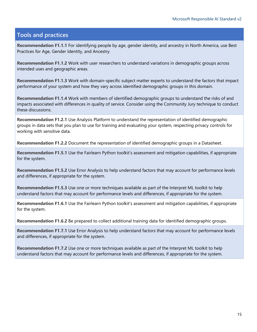#### **Tools and practices**

**Recommendation F1.1.1** For identifying people by age, gender identity, and ancestry in North America, use Best Practices for Age, Gender Identity, and Ancestry.

**Recommendation F1.1.2** Work with user researchers to understand variations in demographic groups across intended uses and geographic areas.

**Recommendation F1.1.3** Work with domain-specific subject matter experts to understand the factors that impact performance of your system and how they vary across identified demographic groups in this domain.

**Recommendation F1.1.4** Work with members of identified demographic groups to understand the risks of and impacts associated with differences in quality of service. Consider using the Community Jury technique to conduct these discussions.

**Recommendation F1.2.1** Use Analysis Platform to understand the representation of identified demographic groups in data sets that you plan to use for training and evaluating your system, respecting privacy controls for working with sensitive data.

**Recommendation F1.2.2** Document the representation of identified demographic groups in a Datasheet.

**Recommendation F1.5.1** Use the Fairlearn Python toolkit's assessment and mitigation capabilities, if appropriate for the system.

**Recommendation F1.5.2** Use Error Analysis to help understand factors that may account for performance levels and differences, if appropriate for the system.

**Recommendation F1.5.3** Use one or more techniques available as part of the Interpret ML toolkit to help understand factors that may account for performance levels and differences, if appropriate for the system.

**Recommendation F1.6.1** Use the Fairlearn Python toolkit's assessment and mitigation capabilities, if appropriate for the system.

**Recommendation F1.6.2** Be prepared to collect additional training data for identified demographic groups.

**Recommendation F1.7.1** Use Error Analysis to help understand factors that may account for performance levels and differences, if appropriate for the system.

**Recommendation F1.7.2** Use one or more techniques available as part of the Interpret ML toolkit to help understand factors that may account for performance levels and differences, if appropriate for the system.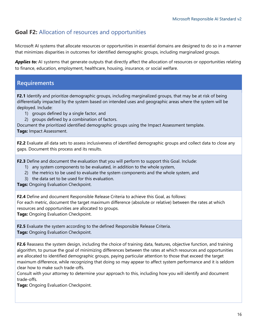#### **Goal F2:** Allocation of resources and opportunities

Microsoft AI systems that allocate resources or opportunities in essential domains are designed to do so in a manner that minimizes disparities in outcomes for identified demographic groups, including marginalized groups.

Applies to: AI systems that generate outputs that directly affect the allocation of resources or opportunities relating to finance, education, employment, healthcare, housing, insurance, or social welfare.

#### **Requirements**

**F2.1** Identify and prioritize demographic groups, including marginalized groups, that may be at risk of being differentially impacted by the system based on intended uses and geographic areas where the system will be deployed. Include:

- 1) groups defined by a single factor, and
- 2) groups defined by a combination of factors.

Document the prioritized identified demographic groups using the Impact Assessment template.

**Tags:** Impact Assessment.

**F2.2** Evaluate all data sets to assess inclusiveness of identified demographic groups and collect data to close any gaps. Document this process and its results.

**F2.3** Define and document the evaluation that you will perform to support this Goal. Include:

- 1) any system components to be evaluated, in addition to the whole system,
- 2) the metrics to be used to evaluate the system components and the whole system, and
- 3) the data set to be used for this evaluation.

**Tags:** Ongoing Evaluation Checkpoint.

**F2.4** Define and document Responsible Release Criteria to achieve this Goal, as follows:

For each metric, document the target maximum difference (absolute or relative) between the rates at which resources and opportunities are allocated to groups.

**Tags:** Ongoing Evaluation Checkpoint.

**F2.5** Evaluate the system according to the defined Responsible Release Criteria. **Tags:** Ongoing Evaluation Checkpoint.

**F2.6** Reassess the system design, including the choice of training data, features, objective function, and training algorithm, to pursue the goal of minimizing differences between the rates at which resources and opportunities are allocated to identified demographic groups, paying particular attention to those that exceed the target maximum difference, while recognizing that doing so may appear to affect system performance and it is seldom clear how to make such trade-offs.

Consult with your attorney to determine your approach to this, including how you will identify and document trade-offs.

**Tags:** Ongoing Evaluation Checkpoint.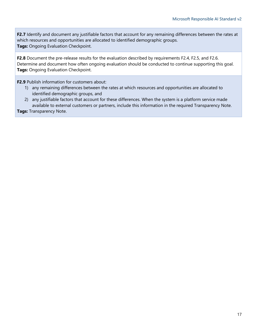**F2.7** Identify and document any justifiable factors that account for any remaining differences between the rates at which resources and opportunities are allocated to identified demographic groups. **Tags:** Ongoing Evaluation Checkpoint.

**F2.8** Document the pre-release results for the evaluation described by requirements F2.4, F2.5, and F2.6. Determine and document how often ongoing evaluation should be conducted to continue supporting this goal. **Tags:** Ongoing Evaluation Checkpoint.

**F2.9** Publish information for customers about:

- 1) any remaining differences between the rates at which resources and opportunities are allocated to identified demographic groups, and
- 2) any justifiable factors that account for these differences. When the system is a platform service made available to external customers or partners, include this information in the required Transparency Note.

**Tags:** Transparency Note.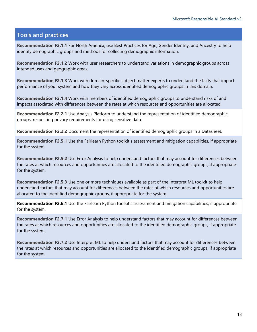#### **Tools and practices**

**Recommendation F2.1.1** For North America, use Best Practices for Age, Gender Identity, and Ancestry to help identify demographic groups and methods for collecting demographic information.

**Recommendation F2.1.2** Work with user researchers to understand variations in demographic groups across intended uses and geographic areas.

**Recommendation F2.1.3** Work with domain-specific subject matter experts to understand the facts that impact performance of your system and how they vary across identified demographic groups in this domain.

**Recommendation F2.1.4** Work with members of identified demographic groups to understand risks of and impacts associated with differences between the rates at which resources and opportunities are allocated.

**Recommendation F2.2.1** Use Analysis Platform to understand the representation of identified demographic groups, respecting privacy requirements for using sensitive data.

**Recommendation F2.2.2** Document the representation of identified demographic groups in a Datasheet.

**Recommendation F2.5.1** Use the Fairlearn Python toolkit's assessment and mitigation capabilities, if appropriate for the system.

**Recommendation F2.5.2** Use Error Analysis to help understand factors that may account for differences between the rates at which resources and opportunities are allocated to the identified demographic groups, if appropriate for the system.

**Recommendation F2.5.3** Use one or more techniques available as part of the Interpret ML toolkit to help understand factors that may account for differences between the rates at which resources and opportunities are allocated to the identified demographic groups, if appropriate for the system.

**Recommendation F2.6.1** Use the Fairlearn Python toolkit's assessment and mitigation capabilities, if appropriate for the system.

**Recommendation F2.7.1** Use Error Analysis to help understand factors that may account for differences between the rates at which resources and opportunities are allocated to the identified demographic groups, if appropriate for the system.

**Recommendation F2.7.2** Use Interpret ML to help understand factors that may account for differences between the rates at which resources and opportunities are allocated to the identified demographic groups, if appropriate for the system.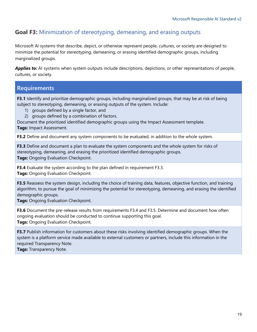#### **Goal F3:** Minimization of stereotyping, demeaning, and erasing outputs

Microsoft AI systems that describe, depict, or otherwise represent people, cultures, or society are designed to minimize the potential for stereotyping, demeaning, or erasing identified demographic groups, including marginalized groups.

**Applies to:** AI systems when system outputs include descriptions, depictions, or other representations of people, cultures, or society.

#### **Requirements**

**F3.1** Identify and prioritize demographic groups, including marginalized groups, that may be at risk of being subject to stereotyping, demeaning, or erasing outputs of the system. Include:

- 1) groups defined by a single factor, and
- 2) groups defined by a combination of factors.

Document the prioritized identified demographic groups using the Impact Assessment template.

**Tags:** Impact Assessment.

**F3.2** Define and document any system components to be evaluated, in addition to the whole system.

**F3.3** Define and document a plan to evaluate the system components and the whole system for risks of stereotyping, demeaning, and erasing the prioritized identified demographic groups. **Tags:** Ongoing Evaluation Checkpoint.

**F3.4** Evaluate the system according to the plan defined in requirement F3.3. **Tags:** Ongoing Evaluation Checkpoint.

**F3.5** Reassess the system design, including the choice of training data, features, objective function, and training algorithm, to pursue the goal of minimizing the potential for stereotyping, demeaning, and erasing the identified demographic groups.

**Tags:** Ongoing Evaluation Checkpoint.

**F3.6** Document the pre-release results from requirements F3.4 and F3.5. Determine and document how often ongoing evaluation should be conducted to continue supporting this goal. **Tags:** Ongoing Evaluation Checkpoint.

**F3.7** Publish information for customers about these risks involving identified demographic groups. When the system is a platform service made available to external customers or partners, include this information in the required Transparency Note.

**Tags:** Transparency Note.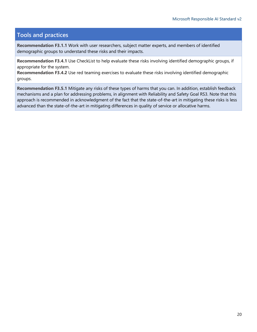#### **Tools and practices**

**Recommendation F3.1.1** Work with user researchers, subject matter experts, and members of identified demographic groups to understand these risks and their impacts.

**Recommendation F3.4.1** Use CheckList to help evaluate these risks involving identified demographic groups, if appropriate for the system.

**Recommendation F3.4.2** Use red teaming exercises to evaluate these risks involving identified demographic groups.

**Recommendation F3.5.1** Mitigate any risks of these types of harms that you can. In addition, establish feedback mechanisms and a plan for addressing problems, in alignment with Reliability and Safety Goal RS3. Note that this approach is recommended in acknowledgment of the fact that the state-of-the-art in mitigating these risks is less advanced than the state-of-the-art in mitigating differences in quality of service or allocative harms.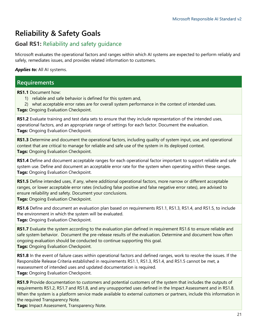# <span id="page-20-0"></span>**Reliability & Safety Goals**

#### **Goal RS1:** Reliability and safety guidance

Microsoft evaluates the operational factors and ranges within which AI systems are expected to perform reliably and safely, remediates issues, and provides related information to customers.

**Applies to:** All AI systems.

#### **Requirements**

**RS1.1** Document how:

- 1) reliable and safe behavior is defined for this system and,
- 2) what acceptable error rates are for overall system performance in the context of intended uses.
- **Tags:** Ongoing Evaluation Checkpoint.

**RS1.2** Evaluate training and test data sets to ensure that they include representation of the intended uses, operational factors, and an appropriate range of settings for each factor. Document the evaluation. **Tags:** Ongoing Evaluation Checkpoint.

**RS1.3** Determine and document the operational factors, including quality of system input, use, and operational context that are critical to manage for reliable and safe use of the system in its deployed context. **Tags:** Ongoing Evaluation Checkpoint.

**RS1.4** Define and document acceptable ranges for each operational factor important to support reliable and safe system use. Define and document an acceptable error rate for the system when operating within these ranges. **Tags:** Ongoing Evaluation Checkpoint.

**RS1.5** Define intended uses, if any, where additional operational factors, more narrow or different acceptable ranges, or lower acceptable error rates (including false positive and false negative error rates), are advised to ensure reliability and safety. Document your conclusions.

**Tags:** Ongoing Evaluation Checkpoint.

**RS1.6** Define and document an evaluation plan based on requirements RS1.1, RS1.3, RS1.4, and RS1.5, to include the environment in which the system will be evaluated. **Tags:** Ongoing Evaluation Checkpoint.

**RS1.7** Evaluate the system according to the evaluation plan defined in requirement RS1.6 to ensure reliable and safe system behavior. Document the pre-release results of the evaluation. Determine and document how often ongoing evaluation should be conducted to continue supporting this goal.

**Tags:** Ongoing Evaluation Checkpoint.

**RS1.8** In the event of failure cases within operational factors and defined ranges, work to resolve the issues. If the Responsible Release Criteria established in requirements RS1.1, RS1.3, RS1.4, and RS1.5 cannot be met, a reassessment of intended uses and updated documentation is required.

**Tags:** Ongoing Evaluation Checkpoint.

**RS1.9** Provide documentation to customers and potential customers of the system that includes the outputs of requirements RS1.2, RS1.7 and RS1.8, and any unsupported uses defined in the Impact Assessment and in RS1.8. When the system is a platform service made available to external customers or partners, include this information in the required Transparency Note.

**Tags:** Impact Assessment, Transparency Note.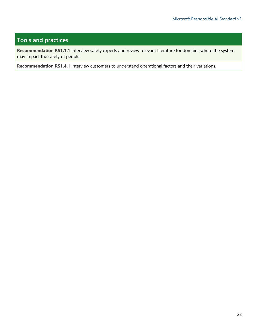#### **Tools and practices**

**Recommendation RS1.1.1** Interview safety experts and review relevant literature for domains where the system may impact the safety of people.

**Recommendation RS1.4.1** Interview customers to understand operational factors and their variations.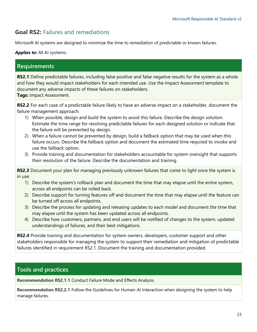#### **Goal RS2:** Failures and remediations

Microsoft AI systems are designed to minimize the time to remediation of predictable or known failures.

#### Applies to: All AI systems.

#### **Requirements**

**RS2.1** Define predictable failures, including false positive and false negative results for the system as a whole and how they would impact stakeholders for each intended use. Use the Impact Assessment template to document any adverse impacts of these failures on stakeholders. **Tags:** Impact Assessment.

**RS2.2** For each case of a predictable failure likely to have an adverse impact on a stakeholder, document the failure management approach:

- 1) When possible, design and build the system to avoid this failure. Describe the design solution. Estimate the time range for resolving predictable failures for each designed solution or indicate that the failure will be prevented by design.
- 2) When a failure cannot be prevented by design, build a fallback option that may be used when this failure occurs. Describe the fallback option and document the estimated time required to invoke and use the fallback option.
- 3) Provide training and documentation for stakeholders accountable for system oversight that supports their resolution of the failure. Describe the documentation and training.

**RS2.3** Document your plan for managing previously unknown failures that come to light once the system is in use:

- 1) Describe the system's rollback plan and document the time that may elapse until the entire system, across all endpoints can be rolled back.
- 2) Describe support for turning features off and document the time that may elapse until the feature can be turned off across all endpoints.
- 3) Describe the process for updating and releasing updates to each model and document the time that may elapse until the system has been updated across all endpoints.
- 4) Describe how customers, partners, and end users will be notified of changes to the system, updated understandings of failures, and their best mitigations.

**RS2.4** Provide training and documentation for system owners, developers, customer support and other stakeholders responsible for managing the system to support their remediation and mitigation of predictable failures identified in requirement RS2.1. Document the training and documentation provided.

#### **Tools and practices**

**Recommendation RS2.1.1** Conduct Failure Mode and Effects Analysis.

**Recommendation RS2.2.1** Follow the Guidelines for Human-AI Interaction when designing the system to help manage failures.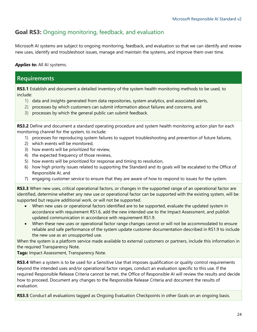#### **Goal RS3:** Ongoing monitoring, feedback, and evaluation

Microsoft AI systems are subject to ongoing monitoring, feedback, and evaluation so that we can identify and review new uses, identify and troubleshoot issues, manage and maintain the systems, and improve them over time.

#### *Applies to:* All AI systems.

#### **Requirements**

**RS3.1** Establish and document a detailed inventory of the system health monitoring methods to be used, to include:

- 1) data and insights generated from data repositories, system analytics, and associated alerts,
- 2) processes by which customers can submit information about failures and concerns, and
- 3) processes by which the general public can submit feedback.

**RS3.2** Define and document a standard operating procedure and system health monitoring action plan for each monitoring channel for the system, to include:

- 1) processes for reproducing system failures to support troubleshooting and prevention of future failures,
- 2) which events will be monitored,
- 3) how events will be prioritized for review,
- 4) the expected frequency of those reviews,
- 5) how events will be prioritized for response and timing to resolution,
- 6) how high priority issues related to supporting the Standard and its goals will be escalated to the Office of Responsible AI, and
- 7) engaging customer service to ensure that they are aware of how to respond to issues for the system.

**RS3.3** When new uses, critical operational factors, or changes in the supported range of an operational factor are identified, determine whether any new use or operational factor can be supported with the existing system, will be supported but require additional work, or will not be supported.

- When new uses or operational factors identified are to be supported, evaluate the updated system in accordance with requirement RS1.6, add the new intended use to the Impact Assessment, and publish updated communication in accordance with requirement RS1.9.
- When these new uses or operational factor range changes cannot or will not be accommodated to ensure reliable and safe performance of the system update customer documentation described in RS1.9 to include the new use as an unsupported use.

When the system is a platform service made available to external customers or partners, include this information in the required Transparency Note.

**Tags:** Impact Assessment, Transparency Note.

**RS3.4** When a system is to be used for a Sensitive Use that imposes qualification or quality control requirements beyond the intended uses and/or operational factor ranges, conduct an evaluation specific to this use. If the required Responsible Release Criteria cannot be met, the Office of Responsible AI will review the results and decide how to proceed. Document any changes to the Responsible Release Criteria and document the results of evaluation.

**RS3.5** Conduct all evaluations tagged as Ongoing Evaluation Checkpoints in other Goals on an ongoing basis.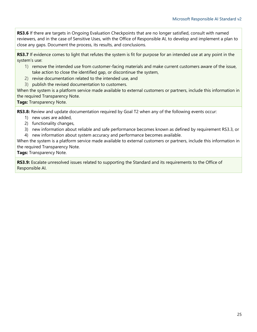**RS3.6** If there are targets in Ongoing Evaluation Checkpoints that are no longer satisfied, consult with named reviewers, and in the case of Sensitive Uses, with the Office of Responsible AI, to develop and implement a plan to close any gaps. Document the process, its results, and conclusions.

**RS3.7** If evidence comes to light that refutes the system is fit for purpose for an intended use at any point in the system's use:

- 1) remove the intended use from customer-facing materials and make current customers aware of the issue, take action to close the identified gap, or discontinue the system,
- 2) revise documentation related to the intended use, and
- 3) publish the revised documentation to customers.

When the system is a platform service made available to external customers or partners, include this information in the required Transparency Note.

**Tags:** Transparency Note.

**RS3.8:** Review and update documentation required by Goal T2 when any of the following events occur:

- 1) new uses are added,
- 2) functionality changes,
- 3) new information about reliable and safe performance becomes known as defined by requirement RS3.3, or
- 4) new information about system accuracy and performance becomes available.

When the system is a platform service made available to external customers or partners, include this information in the required Transparency Note.

**Tags:** Transparency Note.

**RS3.9:** Escalate unresolved issues related to supporting the Standard and its requirements to the Office of Responsible AI.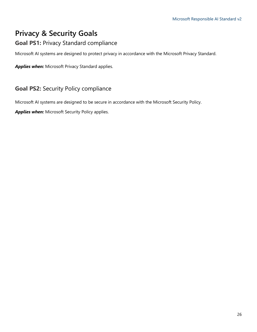# <span id="page-25-0"></span>**Privacy & Security Goals**

#### **Goal PS1:** Privacy Standard compliance

Microsoft AI systems are designed to protect privacy in accordance with the Microsoft Privacy Standard.

*Applies when:* Microsoft Privacy Standard applies.

#### **Goal PS2:** Security Policy compliance

Microsoft AI systems are designed to be secure in accordance with the Microsoft Security Policy.

*Applies when:* Microsoft Security Policy applies.